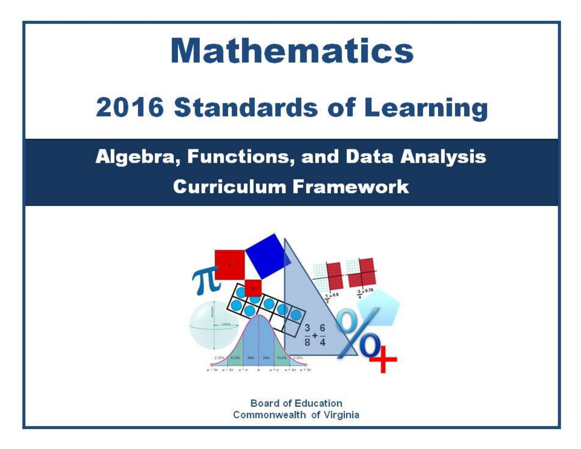# **Mathematics 2016 Standards of Learning**

# **Algebra, Functions, and Data Analysis Curriculum Framework**



**Board of Education** Commonwealth of Virginia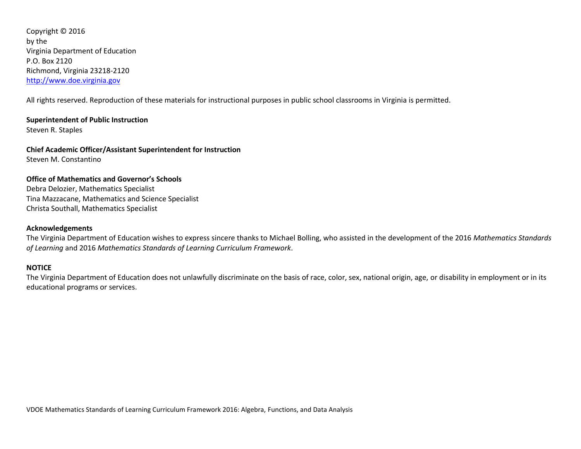Copyright © 2016 by the Virginia Department of Education P.O. Box 2120 Richmond, Virginia 23218-2120 [http://www.doe.virginia.gov](http://doe.virginia.gov/)

All rights reserved. Reproduction of these materials for instructional purposes in public school classrooms in Virginia is permitted.

**Superintendent of Public Instruction** Steven R. Staples

**Chief Academic Officer/Assistant Superintendent for Instruction** Steven M. Constantino

### **Office of Mathematics and Governor's Schools** Debra Delozier, Mathematics Specialist Tina Mazzacane, Mathematics and Science Specialist Christa Southall, Mathematics Specialist

#### **Acknowledgements**

The Virginia Department of Education wishes to express sincere thanks to Michael Bolling, who assisted in the development of the 2016 *Mathematics Standards of Learning* and 2016 *Mathematics Standards of Learning Curriculum Framework*.

#### **NOTICE**

The Virginia Department of Education does not unlawfully discriminate on the basis of race, color, sex, national origin, age, or disability in employment or in its educational programs or services.

VDOE Mathematics Standards of Learning Curriculum Framework 2016: Algebra, Functions, and Data Analysis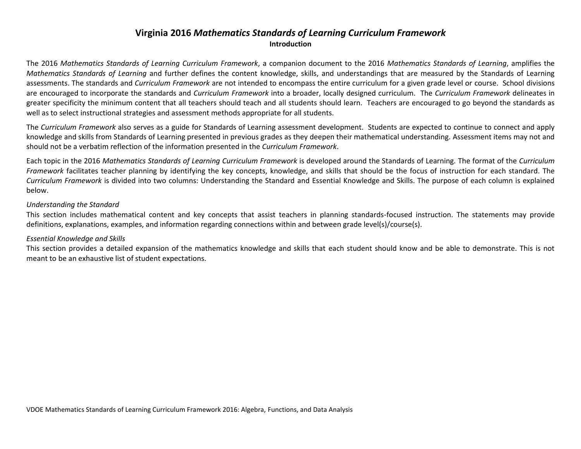# **Virginia 2016** *Mathematics Standards of Learning Curriculum Framework* **Introduction**

The 2016 *Mathematics Standards of Learning Curriculum Framework*, a companion document to the 2016 *Mathematics Standards of Learning*, amplifies the *Mathematics Standards of Learning* and further defines the content knowledge, skills, and understandings that are measured by the Standards of Learning assessments. The standards and *Curriculum Framework* are not intended to encompass the entire curriculum for a given grade level or course. School divisions are encouraged to incorporate the standards and *Curriculum Framework* into a broader, locally designed curriculum. The *Curriculum Framework* delineates in greater specificity the minimum content that all teachers should teach and all students should learn. Teachers are encouraged to go beyond the standards as well as to select instructional strategies and assessment methods appropriate for all students.

The *Curriculum Framework* also serves as a guide for Standards of Learning assessment development. Students are expected to continue to connect and apply knowledge and skills from Standards of Learning presented in previous grades as they deepen their mathematical understanding. Assessment items may not and should not be a verbatim reflection of the information presented in the *Curriculum Framework*.

Each topic in the 2016 *Mathematics Standards of Learning Curriculum Framework* is developed around the Standards of Learning. The format of the *Curriculum Framework* facilitates teacher planning by identifying the key concepts, knowledge, and skills that should be the focus of instruction for each standard. The *Curriculum Framework* is divided into two columns: Understanding the Standard and Essential Knowledge and Skills. The purpose of each column is explained below.

#### *Understanding the Standard*

This section includes mathematical content and key concepts that assist teachers in planning standards-focused instruction. The statements may provide definitions, explanations, examples, and information regarding connections within and between grade level(s)/course(s).

#### *Essential Knowledge and Skills*

This section provides a detailed expansion of the mathematics knowledge and skills that each student should know and be able to demonstrate. This is not meant to be an exhaustive list of student expectations.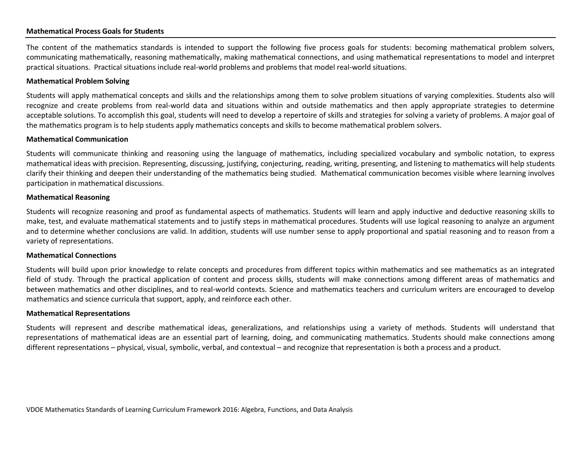#### **Mathematical Process Goals for Students**

The content of the mathematics standards is intended to support the following five process goals for students: becoming mathematical problem solvers, communicating mathematically, reasoning mathematically, making mathematical connections, and using mathematical representations to model and interpret practical situations. Practical situations include real-world problems and problems that model real-world situations.

#### **Mathematical Problem Solving**

Students will apply mathematical concepts and skills and the relationships among them to solve problem situations of varying complexities. Students also will recognize and create problems from real-world data and situations within and outside mathematics and then apply appropriate strategies to determine acceptable solutions. To accomplish this goal, students will need to develop a repertoire of skills and strategies for solving a variety of problems. A major goal of the mathematics program is to help students apply mathematics concepts and skills to become mathematical problem solvers.

#### **Mathematical Communication**

Students will communicate thinking and reasoning using the language of mathematics, including specialized vocabulary and symbolic notation, to express mathematical ideas with precision. Representing, discussing, justifying, conjecturing, reading, writing, presenting, and listening to mathematics will help students clarify their thinking and deepen their understanding of the mathematics being studied. Mathematical communication becomes visible where learning involves participation in mathematical discussions.

#### **Mathematical Reasoning**

Students will recognize reasoning and proof as fundamental aspects of mathematics. Students will learn and apply inductive and deductive reasoning skills to make, test, and evaluate mathematical statements and to justify steps in mathematical procedures. Students will use logical reasoning to analyze an argument and to determine whether conclusions are valid. In addition, students will use number sense to apply proportional and spatial reasoning and to reason from a variety of representations.

#### **Mathematical Connections**

Students will build upon prior knowledge to relate concepts and procedures from different topics within mathematics and see mathematics as an integrated field of study. Through the practical application of content and process skills, students will make connections among different areas of mathematics and between mathematics and other disciplines, and to real-world contexts. Science and mathematics teachers and curriculum writers are encouraged to develop mathematics and science curricula that support, apply, and reinforce each other.

#### **Mathematical Representations**

Students will represent and describe mathematical ideas, generalizations, and relationships using a variety of methods. Students will understand that representations of mathematical ideas are an essential part of learning, doing, and communicating mathematics. Students should make connections among different representations – physical, visual, symbolic, verbal, and contextual – and recognize that representation is both a process and a product.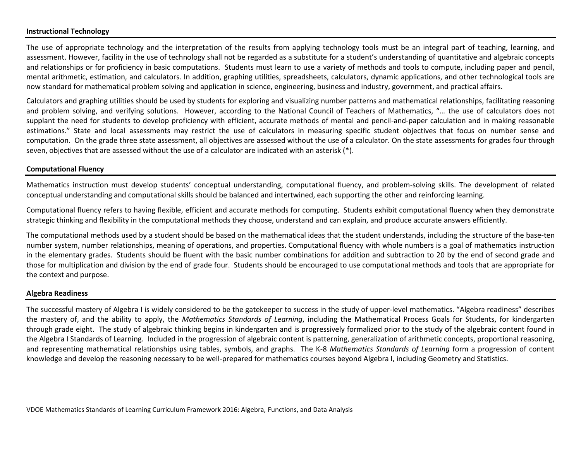#### **Instructional Technology**

The use of appropriate technology and the interpretation of the results from applying technology tools must be an integral part of teaching, learning, and assessment. However, facility in the use of technology shall not be regarded as a substitute for a student's understanding of quantitative and algebraic concepts and relationships or for proficiency in basic computations. Students must learn to use a variety of methods and tools to compute, including paper and pencil, mental arithmetic, estimation, and calculators. In addition, graphing utilities, spreadsheets, calculators, dynamic applications, and other technological tools are now standard for mathematical problem solving and application in science, engineering, business and industry, government, and practical affairs.

Calculators and graphing utilities should be used by students for exploring and visualizing number patterns and mathematical relationships, facilitating reasoning and problem solving, and verifying solutions. However, according to the National Council of Teachers of Mathematics, "… the use of calculators does not supplant the need for students to develop proficiency with efficient, accurate methods of mental and pencil-and-paper calculation and in making reasonable estimations." State and local assessments may restrict the use of calculators in measuring specific student objectives that focus on number sense and computation. On the grade three state assessment, all objectives are assessed without the use of a calculator. On the state assessments for grades four through seven, objectives that are assessed without the use of a calculator are indicated with an asterisk (\*).

#### **Computational Fluency**

Mathematics instruction must develop students' conceptual understanding, computational fluency, and problem-solving skills. The development of related conceptual understanding and computational skills should be balanced and intertwined, each supporting the other and reinforcing learning.

Computational fluency refers to having flexible, efficient and accurate methods for computing. Students exhibit computational fluency when they demonstrate strategic thinking and flexibility in the computational methods they choose, understand and can explain, and produce accurate answers efficiently.

The computational methods used by a student should be based on the mathematical ideas that the student understands, including the structure of the base-ten number system, number relationships, meaning of operations, and properties. Computational fluency with whole numbers is a goal of mathematics instruction in the elementary grades. Students should be fluent with the basic number combinations for addition and subtraction to 20 by the end of second grade and those for multiplication and division by the end of grade four. Students should be encouraged to use computational methods and tools that are appropriate for the context and purpose.

#### **Algebra Readiness**

The successful mastery of Algebra I is widely considered to be the gatekeeper to success in the study of upper-level mathematics. "Algebra readiness" describes the mastery of, and the ability to apply, the *Mathematics Standards of Learning*, including the Mathematical Process Goals for Students, for kindergarten through grade eight. The study of algebraic thinking begins in kindergarten and is progressively formalized prior to the study of the algebraic content found in the Algebra I Standards of Learning. Included in the progression of algebraic content is patterning, generalization of arithmetic concepts, proportional reasoning, and representing mathematical relationships using tables, symbols, and graphs. The K-8 *Mathematics Standards of Learning* form a progression of content knowledge and develop the reasoning necessary to be well-prepared for mathematics courses beyond Algebra I, including Geometry and Statistics.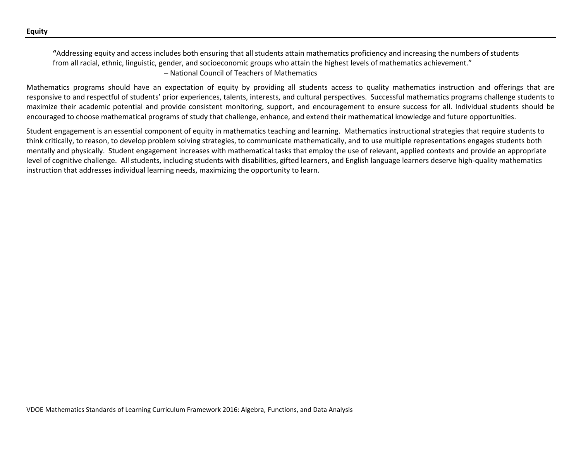**"**Addressing equity and access includes both ensuring that all students attain mathematics proficiency and increasing the numbers of students from all racial, ethnic, linguistic, gender, and socioeconomic groups who attain the highest levels of mathematics achievement." – National Council of Teachers of Mathematics

Mathematics programs should have an expectation of equity by providing all students access to quality mathematics instruction and offerings that are responsive to and respectful of students' prior experiences, talents, interests, and cultural perspectives. Successful mathematics programs challenge students to maximize their academic potential and provide consistent monitoring, support, and encouragement to ensure success for all. Individual students should be encouraged to choose mathematical programs of study that challenge, enhance, and extend their mathematical knowledge and future opportunities.

Student engagement is an essential component of equity in mathematics teaching and learning. Mathematics instructional strategies that require students to think critically, to reason, to develop problem solving strategies, to communicate mathematically, and to use multiple representations engages students both mentally and physically. Student engagement increases with mathematical tasks that employ the use of relevant, applied contexts and provide an appropriate level of cognitive challenge. All students, including students with disabilities, gifted learners, and English language learners deserve high-quality mathematics instruction that addresses individual learning needs, maximizing the opportunity to learn.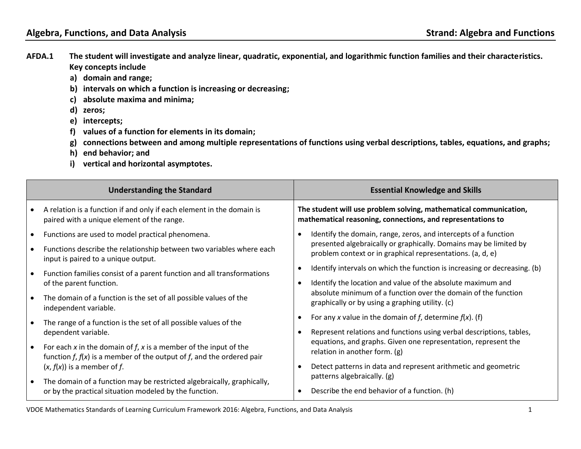- **AFDA.1 The student will investigate and analyze linear, quadratic, exponential, and logarithmic function families and their characteristics. Key concepts include**
	- **a) domain and range;**
	- **b) intervals on which a function is increasing or decreasing;**
	- **c) absolute maxima and minima;**
	- **d) zeros;**
	- **e) intercepts;**
	- **f) values of a function for elements in its domain;**
	- **g) connections between and among multiple representations of functions using verbal descriptions, tables, equations, and graphs;**
	- **h) end behavior; and**
	- **i) vertical and horizontal asymptotes.**

|           | <b>Understanding the Standard</b>                                                                                                                    |           | <b>Essential Knowledge and Skills</b>                                                                                            |
|-----------|------------------------------------------------------------------------------------------------------------------------------------------------------|-----------|----------------------------------------------------------------------------------------------------------------------------------|
|           | A relation is a function if and only if each element in the domain is<br>paired with a unique element of the range.                                  |           | The student will use problem solving, mathematical communication,<br>mathematical reasoning, connections, and representations to |
| $\bullet$ | Functions are used to model practical phenomena.                                                                                                     | $\bullet$ | Identify the domain, range, zeros, and intercepts of a function                                                                  |
|           | Functions describe the relationship between two variables where each<br>input is paired to a unique output.                                          |           | presented algebraically or graphically. Domains may be limited by<br>problem context or in graphical representations. (a, d, e)  |
|           | Function families consist of a parent function and all transformations                                                                               | $\bullet$ | Identify intervals on which the function is increasing or decreasing. (b)                                                        |
|           | of the parent function.                                                                                                                              | $\bullet$ | Identify the location and value of the absolute maximum and                                                                      |
| $\bullet$ | The domain of a function is the set of all possible values of the<br>independent variable.                                                           |           | absolute minimum of a function over the domain of the function<br>graphically or by using a graphing utility. (c)                |
| $\bullet$ | The range of a function is the set of all possible values of the                                                                                     | $\bullet$ | For any x value in the domain of f, determine $f(x)$ . (f)                                                                       |
|           | dependent variable.                                                                                                                                  | $\bullet$ | Represent relations and functions using verbal descriptions, tables,                                                             |
| $\bullet$ | For each x in the domain of $f$ , x is a member of the input of the<br>function $f$ , $f(x)$ is a member of the output of $f$ , and the ordered pair |           | equations, and graphs. Given one representation, represent the<br>relation in another form. (g)                                  |
|           | $(x, f(x))$ is a member of f.                                                                                                                        |           | Detect patterns in data and represent arithmetic and geometric                                                                   |
| $\bullet$ | The domain of a function may be restricted algebraically, graphically,<br>or by the practical situation modeled by the function.                     |           | patterns algebraically. (g)                                                                                                      |
|           |                                                                                                                                                      | $\bullet$ | Describe the end behavior of a function. (h)                                                                                     |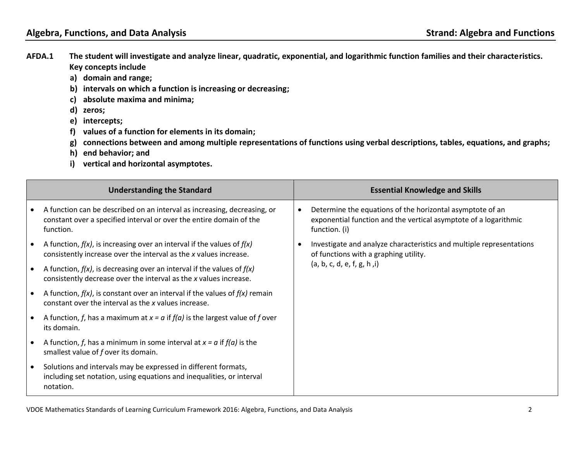- **AFDA.1 The student will investigate and analyze linear, quadratic, exponential, and logarithmic function families and their characteristics. Key concepts include**
	- **a) domain and range;**
	- **b) intervals on which a function is increasing or decreasing;**
	- **c) absolute maxima and minima;**
	- **d) zeros;**
	- **e) intercepts;**
	- **f) values of a function for elements in its domain;**
	- **g) connections between and among multiple representations of functions using verbal descriptions, tables, equations, and graphs;**
	- **h) end behavior; and**
	- **i) vertical and horizontal asymptotes.**

|           | <b>Understanding the Standard</b>                                                                                                                            |           | <b>Essential Knowledge and Skills</b>                                                                                                          |
|-----------|--------------------------------------------------------------------------------------------------------------------------------------------------------------|-----------|------------------------------------------------------------------------------------------------------------------------------------------------|
|           | A function can be described on an interval as increasing, decreasing, or<br>constant over a specified interval or over the entire domain of the<br>function. | $\bullet$ | Determine the equations of the horizontal asymptote of an<br>exponential function and the vertical asymptote of a logarithmic<br>function. (i) |
|           | A function, $f(x)$ , is increasing over an interval if the values of $f(x)$<br>consistently increase over the interval as the x values increase.             | $\bullet$ | Investigate and analyze characteristics and multiple representations<br>of functions with a graphing utility.<br>(a, b, c, d, e, f, g, h, i)   |
|           | A function, $f(x)$ , is decreasing over an interval if the values of $f(x)$<br>consistently decrease over the interval as the x values increase.             |           |                                                                                                                                                |
|           | A function, $f(x)$ , is constant over an interval if the values of $f(x)$ remain<br>constant over the interval as the x values increase.                     |           |                                                                                                                                                |
|           | A function, f, has a maximum at $x = a$ if $f(a)$ is the largest value of f over<br>its domain.                                                              |           |                                                                                                                                                |
|           | A function, f, has a minimum in some interval at $x = a$ if $f(a)$ is the<br>smallest value of f over its domain.                                            |           |                                                                                                                                                |
| $\bullet$ | Solutions and intervals may be expressed in different formats,<br>including set notation, using equations and inequalities, or interval<br>notation.         |           |                                                                                                                                                |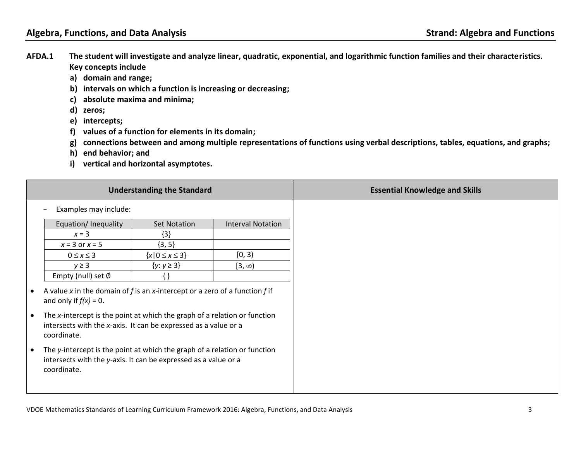- **AFDA.1 The student will investigate and analyze linear, quadratic, exponential, and logarithmic function families and their characteristics. Key concepts include**
	- **a) domain and range;**
	- **b) intervals on which a function is increasing or decreasing;**
	- **c) absolute maxima and minima;**
	- **d) zeros;**
	- **e) intercepts;**
	- **f) values of a function for elements in its domain;**
	- **g) connections between and among multiple representations of functions using verbal descriptions, tables, equations, and graphs;**
	- **h) end behavior; and**
	- **i) vertical and horizontal asymptotes.**

|                        |                                                                                                                                                                                                                                                                        | <b>Understanding the Standard</b> |                          |
|------------------------|------------------------------------------------------------------------------------------------------------------------------------------------------------------------------------------------------------------------------------------------------------------------|-----------------------------------|--------------------------|
|                        | Examples may include:                                                                                                                                                                                                                                                  |                                   |                          |
|                        | Equation/Inequality                                                                                                                                                                                                                                                    | <b>Set Notation</b>               | <b>Interval Notation</b> |
|                        | $x = 3$                                                                                                                                                                                                                                                                | ${3}$                             |                          |
|                        | $x = 3$ or $x = 5$                                                                                                                                                                                                                                                     | $\{3, 5\}$                        |                          |
|                        | $0 \leq x \leq 3$                                                                                                                                                                                                                                                      | ${x \mid 0 \leq x \leq 3}$        | [0, 3)                   |
|                        | $y \geq 3$                                                                                                                                                                                                                                                             | $\{y: y \geq 3\}$                 | $[3, \infty)$            |
|                        | Empty (null) set $\emptyset$                                                                                                                                                                                                                                           |                                   |                          |
| $\bullet$<br>$\bullet$ | A value x in the domain of f is an x-intercept or a zero of a function f if<br>and only if $f(x) = 0$ .<br>The x-intercept is the point at which the graph of a relation or function<br>intersects with the x-axis. It can be expressed as a value or a<br>coordinate. |                                   |                          |
| $\bullet$              | The y-intercept is the point at which the graph of a relation or function<br>intersects with the y-axis. It can be expressed as a value or a<br>coordinate.                                                                                                            |                                   |                          |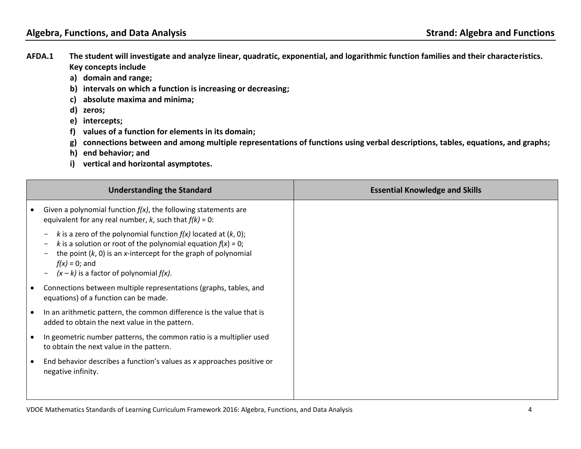- **AFDA.1 The student will investigate and analyze linear, quadratic, exponential, and logarithmic function families and their characteristics. Key concepts include**
	- **a) domain and range;**
	- **b) intervals on which a function is increasing or decreasing;**
	- **c) absolute maxima and minima;**
	- **d) zeros;**
	- **e) intercepts;**
	- **f) values of a function for elements in its domain;**
	- **g) connections between and among multiple representations of functions using verbal descriptions, tables, equations, and graphs;**
	- **h) end behavior; and**
	- **i) vertical and horizontal asymptotes.**

| <b>Understanding the Standard</b>                                                                                                                                                                                                                                                                                                                                  | <b>Essential Knowledge and Skills</b> |
|--------------------------------------------------------------------------------------------------------------------------------------------------------------------------------------------------------------------------------------------------------------------------------------------------------------------------------------------------------------------|---------------------------------------|
| Given a polynomial function $f(x)$ , the following statements are<br>equivalent for any real number, $k$ , such that $f(k) = 0$ :                                                                                                                                                                                                                                  |                                       |
| k is a zero of the polynomial function $f(x)$ located at $(k, 0)$ ;<br>$\overline{\phantom{0}}$<br>k is a solution or root of the polynomial equation $f(x) = 0$ ;<br>the point $(k, 0)$ is an x-intercept for the graph of polynomial<br>$\overline{\phantom{0}}$<br>$f(x) = 0$ ; and<br>$(x - k)$ is a factor of polynomial $f(x)$ .<br>$\overline{\phantom{m}}$ |                                       |
| Connections between multiple representations (graphs, tables, and<br>equations) of a function can be made.                                                                                                                                                                                                                                                         |                                       |
| In an arithmetic pattern, the common difference is the value that is<br>added to obtain the next value in the pattern.                                                                                                                                                                                                                                             |                                       |
| In geometric number patterns, the common ratio is a multiplier used<br>to obtain the next value in the pattern.                                                                                                                                                                                                                                                    |                                       |
| End behavior describes a function's values as x approaches positive or<br>negative infinity.                                                                                                                                                                                                                                                                       |                                       |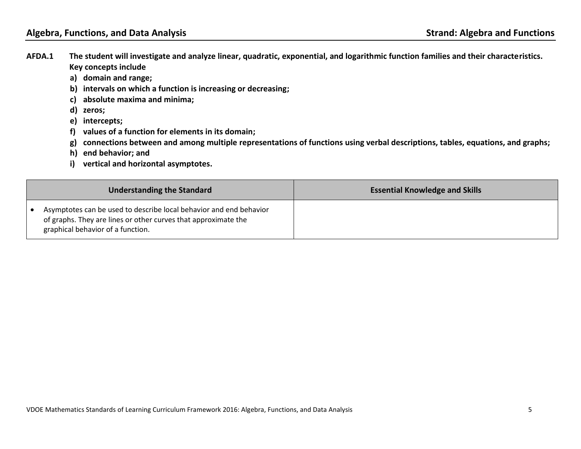- **AFDA.1 The student will investigate and analyze linear, quadratic, exponential, and logarithmic function families and their characteristics. Key concepts include**
	- **a) domain and range;**
	- **b) intervals on which a function is increasing or decreasing;**
	- **c) absolute maxima and minima;**
	- **d) zeros;**
	- **e) intercepts;**
	- **f) values of a function for elements in its domain;**
	- **g) connections between and among multiple representations of functions using verbal descriptions, tables, equations, and graphs;**
	- **h) end behavior; and**
	- **i) vertical and horizontal asymptotes.**

| <b>Understanding the Standard</b>                                                                                                                                         | <b>Essential Knowledge and Skills</b> |
|---------------------------------------------------------------------------------------------------------------------------------------------------------------------------|---------------------------------------|
| Asymptotes can be used to describe local behavior and end behavior<br>of graphs. They are lines or other curves that approximate the<br>graphical behavior of a function. |                                       |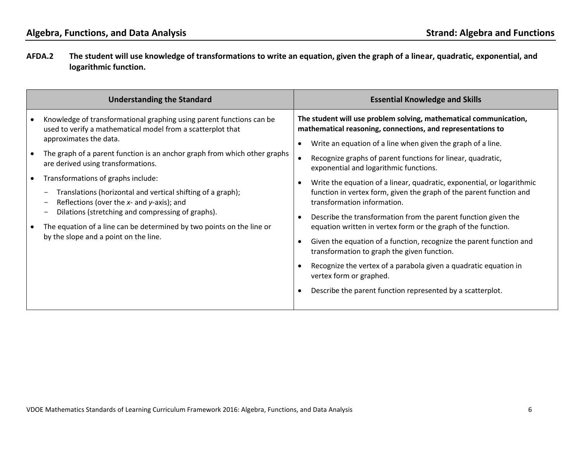**AFDA.2 The student will use knowledge of transformations to write an equation, given the graph of a linear, quadratic, exponential, and logarithmic function.** 

| <b>Understanding the Standard</b>                                                                                                                                                                                                                                                                                                                                                                                                                                                                                                                                                                               | <b>Essential Knowledge and Skills</b>                                                                                                                                                                                                                                                                                                                                                                                                                                                                                                                                                                                                                                                                                                                                                                                                                                                                                                    |
|-----------------------------------------------------------------------------------------------------------------------------------------------------------------------------------------------------------------------------------------------------------------------------------------------------------------------------------------------------------------------------------------------------------------------------------------------------------------------------------------------------------------------------------------------------------------------------------------------------------------|------------------------------------------------------------------------------------------------------------------------------------------------------------------------------------------------------------------------------------------------------------------------------------------------------------------------------------------------------------------------------------------------------------------------------------------------------------------------------------------------------------------------------------------------------------------------------------------------------------------------------------------------------------------------------------------------------------------------------------------------------------------------------------------------------------------------------------------------------------------------------------------------------------------------------------------|
| Knowledge of transformational graphing using parent functions can be<br>used to verify a mathematical model from a scatterplot that<br>approximates the data.<br>The graph of a parent function is an anchor graph from which other graphs<br>are derived using transformations.<br>Transformations of graphs include:<br>Translations (horizontal and vertical shifting of a graph);<br>Reflections (over the $x$ - and $y$ -axis); and<br>Dilations (stretching and compressing of graphs).<br>The equation of a line can be determined by two points on the line or<br>by the slope and a point on the line. | The student will use problem solving, mathematical communication,<br>mathematical reasoning, connections, and representations to<br>Write an equation of a line when given the graph of a line.<br>Recognize graphs of parent functions for linear, quadratic,<br>exponential and logarithmic functions.<br>Write the equation of a linear, quadratic, exponential, or logarithmic<br>$\bullet$<br>function in vertex form, given the graph of the parent function and<br>transformation information.<br>Describe the transformation from the parent function given the<br>$\bullet$<br>equation written in vertex form or the graph of the function.<br>Given the equation of a function, recognize the parent function and<br>transformation to graph the given function.<br>Recognize the vertex of a parabola given a quadratic equation in<br>vertex form or graphed.<br>Describe the parent function represented by a scatterplot. |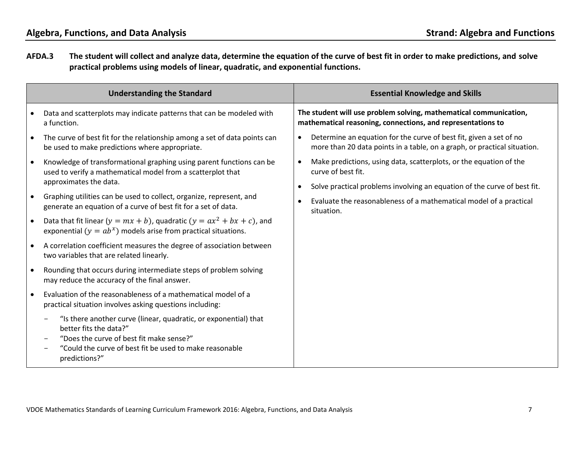**AFDA.3 The student will collect and analyze data, determine the equation of the curve of best fit in order to make predictions, and solve practical problems using models of linear, quadratic, and exponential functions.** 

|           | <b>Understanding the Standard</b>                                                                                                                                                                                  | <b>Essential Knowledge and Skills</b>                                                                                                          |
|-----------|--------------------------------------------------------------------------------------------------------------------------------------------------------------------------------------------------------------------|------------------------------------------------------------------------------------------------------------------------------------------------|
|           | Data and scatterplots may indicate patterns that can be modeled with<br>a function.                                                                                                                                | The student will use problem solving, mathematical communication,<br>mathematical reasoning, connections, and representations to               |
|           | The curve of best fit for the relationship among a set of data points can<br>be used to make predictions where appropriate.                                                                                        | Determine an equation for the curve of best fit, given a set of no<br>more than 20 data points in a table, on a graph, or practical situation. |
| $\bullet$ | Knowledge of transformational graphing using parent functions can be<br>used to verify a mathematical model from a scatterplot that                                                                                | Make predictions, using data, scatterplots, or the equation of the<br>$\bullet$<br>curve of best fit.                                          |
|           | approximates the data.                                                                                                                                                                                             | Solve practical problems involving an equation of the curve of best fit.<br>$\bullet$                                                          |
|           | Graphing utilities can be used to collect, organize, represent, and<br>generate an equation of a curve of best fit for a set of data.                                                                              | Evaluate the reasonableness of a mathematical model of a practical<br>situation.                                                               |
| $\bullet$ | Data that fit linear $(y = mx + b)$ , quadratic $(y = ax^2 + bx + c)$ , and<br>exponential ( $y = ab^x$ ) models arise from practical situations.                                                                  |                                                                                                                                                |
|           | A correlation coefficient measures the degree of association between<br>two variables that are related linearly.                                                                                                   |                                                                                                                                                |
| $\bullet$ | Rounding that occurs during intermediate steps of problem solving<br>may reduce the accuracy of the final answer.                                                                                                  |                                                                                                                                                |
|           | Evaluation of the reasonableness of a mathematical model of a<br>practical situation involves asking questions including:                                                                                          |                                                                                                                                                |
|           | "Is there another curve (linear, quadratic, or exponential) that<br>better fits the data?"<br>"Does the curve of best fit make sense?"<br>"Could the curve of best fit be used to make reasonable<br>predictions?" |                                                                                                                                                |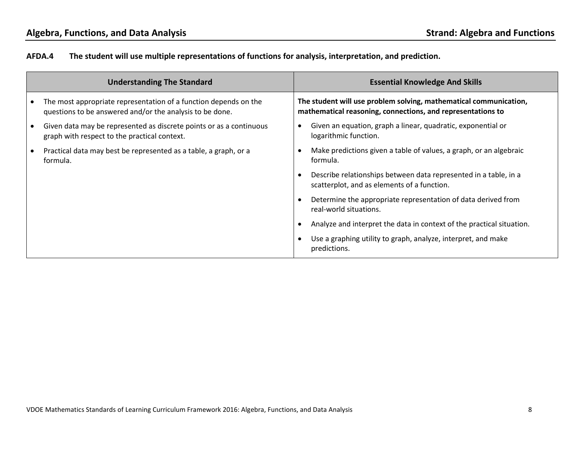# **AFDA.4 The student will use multiple representations of functions for analysis, interpretation, and prediction.**

|           | <b>Understanding The Standard</b>                                                                                            | <b>Essential Knowledge And Skills</b>                                                                                            |
|-----------|------------------------------------------------------------------------------------------------------------------------------|----------------------------------------------------------------------------------------------------------------------------------|
|           | The most appropriate representation of a function depends on the<br>questions to be answered and/or the analysis to be done. | The student will use problem solving, mathematical communication,<br>mathematical reasoning, connections, and representations to |
| $\bullet$ | Given data may be represented as discrete points or as a continuous<br>graph with respect to the practical context.          | Given an equation, graph a linear, quadratic, exponential or<br>logarithmic function.                                            |
|           | Practical data may best be represented as a table, a graph, or a<br>formula.                                                 | Make predictions given a table of values, a graph, or an algebraic<br>formula.                                                   |
|           |                                                                                                                              | Describe relationships between data represented in a table, in a<br>scatterplot, and as elements of a function.                  |
|           |                                                                                                                              | Determine the appropriate representation of data derived from<br>real-world situations.                                          |
|           |                                                                                                                              | Analyze and interpret the data in context of the practical situation.                                                            |
|           |                                                                                                                              | Use a graphing utility to graph, analyze, interpret, and make<br>predictions.                                                    |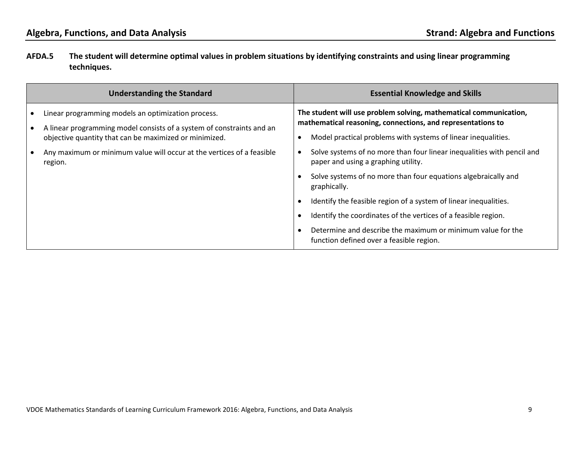# **AFDA.5 The student will determine optimal values in problem situations by identifying constraints and using linear programming techniques.**

| <b>Understanding the Standard</b>                                                                                               | <b>Essential Knowledge and Skills</b>                                                                                            |
|---------------------------------------------------------------------------------------------------------------------------------|----------------------------------------------------------------------------------------------------------------------------------|
| Linear programming models an optimization process.                                                                              | The student will use problem solving, mathematical communication,<br>mathematical reasoning, connections, and representations to |
| A linear programming model consists of a system of constraints and an<br>objective quantity that can be maximized or minimized. | Model practical problems with systems of linear inequalities.                                                                    |
| Any maximum or minimum value will occur at the vertices of a feasible<br>region.                                                | Solve systems of no more than four linear inequalities with pencil and<br>paper and using a graphing utility.                    |
|                                                                                                                                 | Solve systems of no more than four equations algebraically and<br>graphically.                                                   |
|                                                                                                                                 | Identify the feasible region of a system of linear inequalities.                                                                 |
|                                                                                                                                 | Identify the coordinates of the vertices of a feasible region.                                                                   |
|                                                                                                                                 | Determine and describe the maximum or minimum value for the<br>function defined over a feasible region.                          |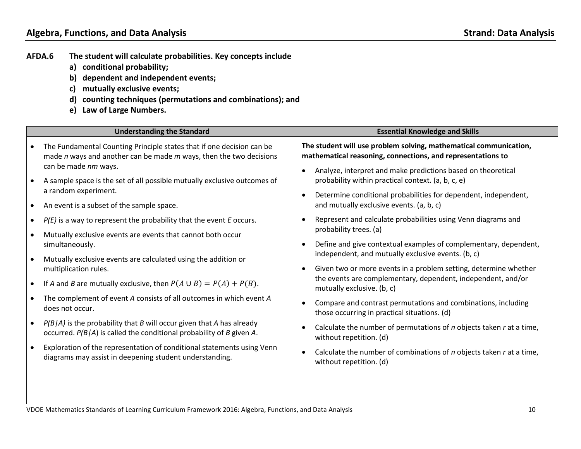- **AFDA.6 The student will calculate probabilities. Key concepts include** 
	- **a) conditional probability;**
	- **b) dependent and independent events;**
	- **c) mutually exclusive events;**
	- **d) counting techniques (permutations and combinations); and**
	- **e) Law of Large Numbers.**

| <b>Understanding the Standard</b> |                                                                                                                                                  | <b>Essential Knowledge and Skills</b>                                                                                            |  |
|-----------------------------------|--------------------------------------------------------------------------------------------------------------------------------------------------|----------------------------------------------------------------------------------------------------------------------------------|--|
|                                   | The Fundamental Counting Principle states that if one decision can be<br>made $n$ ways and another can be made $m$ ways, then the two decisions  | The student will use problem solving, mathematical communication,<br>mathematical reasoning, connections, and representations to |  |
|                                   | can be made nm ways.<br>A sample space is the set of all possible mutually exclusive outcomes of<br>a random experiment.                         | Analyze, interpret and make predictions based on theoretical<br>probability within practical context. (a, b, c, e)               |  |
|                                   | An event is a subset of the sample space.                                                                                                        | Determine conditional probabilities for dependent, independent,<br>and mutually exclusive events. (a, b, c)                      |  |
|                                   | $P(E)$ is a way to represent the probability that the event $E$ occurs.                                                                          | Represent and calculate probabilities using Venn diagrams and<br>probability trees. (a)                                          |  |
|                                   | Mutually exclusive events are events that cannot both occur<br>simultaneously.                                                                   | Define and give contextual examples of complementary, dependent,                                                                 |  |
|                                   | Mutually exclusive events are calculated using the addition or<br>multiplication rules.                                                          | independent, and mutually exclusive events. (b, c)<br>Given two or more events in a problem setting, determine whether           |  |
|                                   | If A and B are mutually exclusive, then $P(A \cup B) = P(A) + P(B)$ .                                                                            | the events are complementary, dependent, independent, and/or<br>mutually exclusive. (b, c)                                       |  |
|                                   | The complement of event A consists of all outcomes in which event A<br>does not occur.                                                           | Compare and contrast permutations and combinations, including<br>those occurring in practical situations. (d)                    |  |
|                                   | $P(B A)$ is the probability that B will occur given that A has already<br>occurred. $P(B A)$ is called the conditional probability of B given A. | Calculate the number of permutations of $n$ objects taken $r$ at a time,<br>without repetition. (d)                              |  |
|                                   | Exploration of the representation of conditional statements using Venn<br>diagrams may assist in deepening student understanding.                | Calculate the number of combinations of <i>n</i> objects taken <i>r</i> at a time,<br>without repetition. (d)                    |  |
|                                   |                                                                                                                                                  |                                                                                                                                  |  |

VDOE Mathematics Standards of Learning Curriculum Framework 2016: Algebra, Functions, and Data Analysis 10 10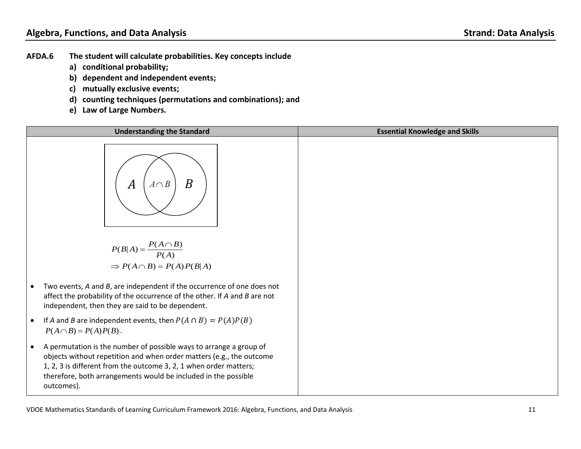- **AFDA.6 The student will calculate probabilities. Key concepts include** 
	- **a) conditional probability;**
	- **b) dependent and independent events;**
	- **c) mutually exclusive events;**
	- **d) counting techniques (permutations and combinations); and**
	- **e) Law of Large Numbers.**

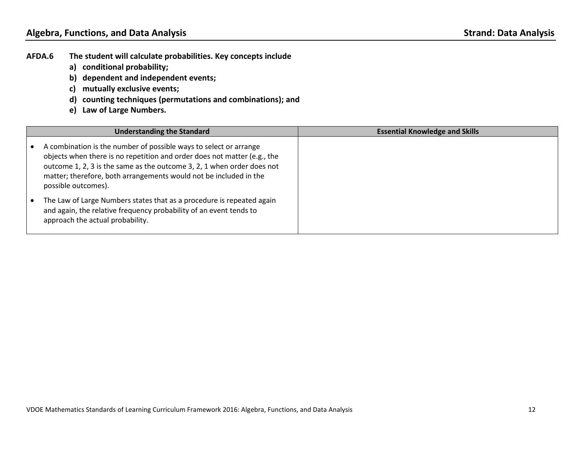- **AFDA.6 The student will calculate probabilities. Key concepts include** 
	- **a) conditional probability;**
	- **b) dependent and independent events;**
	- **c) mutually exclusive events;**
	- **d) counting techniques (permutations and combinations); and**
	- **e) Law of Large Numbers.**

|           | <b>Understanding the Standard</b>                                                                                                                                                                                                                                                                                   | <b>Essential Knowledge and Skills</b> |  |
|-----------|---------------------------------------------------------------------------------------------------------------------------------------------------------------------------------------------------------------------------------------------------------------------------------------------------------------------|---------------------------------------|--|
|           | A combination is the number of possible ways to select or arrange<br>objects when there is no repetition and order does not matter (e.g., the<br>outcome 1, 2, 3 is the same as the outcome 3, 2, 1 when order does not<br>matter; therefore, both arrangements would not be included in the<br>possible outcomes). |                                       |  |
| $\bullet$ | The Law of Large Numbers states that as a procedure is repeated again<br>and again, the relative frequency probability of an event tends to<br>approach the actual probability.                                                                                                                                     |                                       |  |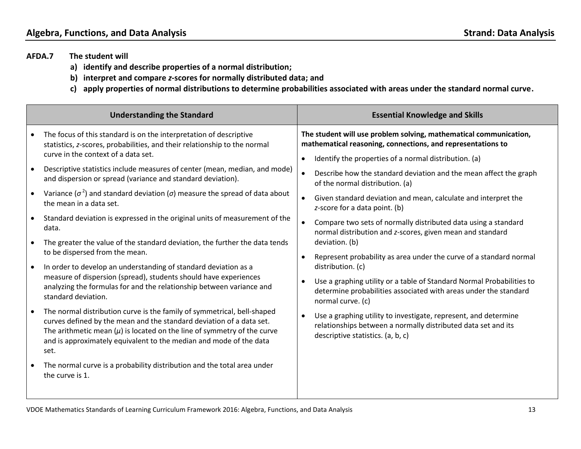- **AFDA.7 The student will** 
	- **a) identify and describe properties of a normal distribution;**
	- **b) interpret and compare** *z***-scores for normally distributed data; and**
	- **c) apply properties of normal distributions to determine probabilities associated with areas under the standard normal curve.**

|           | <b>Understanding the Standard</b>                                                                                                                                                                                                                                                                            |           | <b>Essential Knowledge and Skills</b>                                                                                                                                 |
|-----------|--------------------------------------------------------------------------------------------------------------------------------------------------------------------------------------------------------------------------------------------------------------------------------------------------------------|-----------|-----------------------------------------------------------------------------------------------------------------------------------------------------------------------|
|           | The focus of this standard is on the interpretation of descriptive<br>statistics, z-scores, probabilities, and their relationship to the normal                                                                                                                                                              |           | The student will use problem solving, mathematical communication,<br>mathematical reasoning, connections, and representations to                                      |
|           | curve in the context of a data set.                                                                                                                                                                                                                                                                          |           | Identify the properties of a normal distribution. (a)                                                                                                                 |
|           | Descriptive statistics include measures of center (mean, median, and mode)<br>and dispersion or spread (variance and standard deviation).                                                                                                                                                                    |           | Describe how the standard deviation and the mean affect the graph<br>of the normal distribution. (a)                                                                  |
|           | Variance ( $\sigma^2$ ) and standard deviation ( $\sigma$ ) measure the spread of data about<br>the mean in a data set.                                                                                                                                                                                      |           | Given standard deviation and mean, calculate and interpret the<br>z-score for a data point. (b)                                                                       |
|           | Standard deviation is expressed in the original units of measurement of the<br>data.                                                                                                                                                                                                                         |           | Compare two sets of normally distributed data using a standard<br>normal distribution and z-scores, given mean and standard                                           |
|           | The greater the value of the standard deviation, the further the data tends<br>to be dispersed from the mean.                                                                                                                                                                                                | $\bullet$ | deviation. (b)<br>Represent probability as area under the curve of a standard normal                                                                                  |
| $\bullet$ | In order to develop an understanding of standard deviation as a                                                                                                                                                                                                                                              |           | distribution. (c)                                                                                                                                                     |
|           | measure of dispersion (spread), students should have experiences<br>analyzing the formulas for and the relationship between variance and<br>standard deviation.                                                                                                                                              | $\bullet$ | Use a graphing utility or a table of Standard Normal Probabilities to<br>determine probabilities associated with areas under the standard<br>normal curve. (c)        |
|           | The normal distribution curve is the family of symmetrical, bell-shaped<br>curves defined by the mean and the standard deviation of a data set.<br>The arithmetic mean $(\mu)$ is located on the line of symmetry of the curve<br>and is approximately equivalent to the median and mode of the data<br>set. |           | Use a graphing utility to investigate, represent, and determine<br>relationships between a normally distributed data set and its<br>descriptive statistics. (a, b, c) |
|           | The normal curve is a probability distribution and the total area under<br>the curve is 1.                                                                                                                                                                                                                   |           |                                                                                                                                                                       |

VDOE Mathematics Standards of Learning Curriculum Framework 2016: Algebra, Functions, and Data Analysis 13 13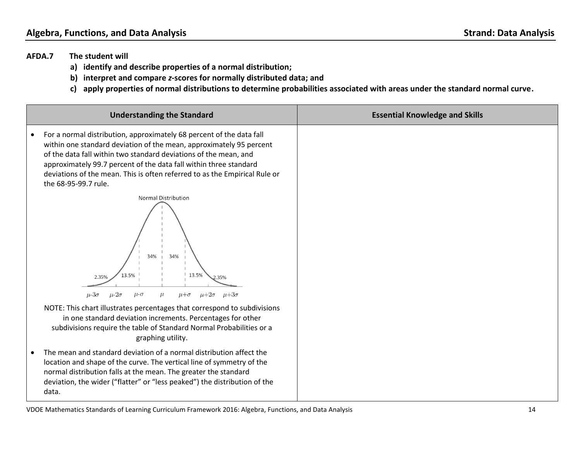- **AFDA.7 The student will** 
	- **a) identify and describe properties of a normal distribution;**
	- **b) interpret and compare** *z***-scores for normally distributed data; and**
	- **c) apply properties of normal distributions to determine probabilities associated with areas under the standard normal curve.**

| <b>Understanding the Standard</b>                                                                                                                                                                                                                                                                                                                                                          | <b>Essential Knowledge and Skills</b> |
|--------------------------------------------------------------------------------------------------------------------------------------------------------------------------------------------------------------------------------------------------------------------------------------------------------------------------------------------------------------------------------------------|---------------------------------------|
| For a normal distribution, approximately 68 percent of the data fall<br>within one standard deviation of the mean, approximately 95 percent<br>of the data fall within two standard deviations of the mean, and<br>approximately 99.7 percent of the data fall within three standard<br>deviations of the mean. This is often referred to as the Empirical Rule or<br>the 68-95-99.7 rule. |                                       |
| <b>Normal Distribution</b><br>34%<br>34%<br>13.5%<br>13.5%<br>2.35%<br>2.35%<br>$\mu+2\sigma$<br>$\mu + 3\sigma$<br>$\mu$ -3 $\sigma$<br>$\mu$ - $2\sigma$<br>$\mu$ - $\sigma$<br>$\mu + \sigma$                                                                                                                                                                                           |                                       |
| NOTE: This chart illustrates percentages that correspond to subdivisions<br>in one standard deviation increments. Percentages for other<br>subdivisions require the table of Standard Normal Probabilities or a<br>graphing utility.                                                                                                                                                       |                                       |
| The mean and standard deviation of a normal distribution affect the<br>location and shape of the curve. The vertical line of symmetry of the<br>normal distribution falls at the mean. The greater the standard<br>deviation, the wider ("flatter" or "less peaked") the distribution of the<br>data.                                                                                      |                                       |

VDOE Mathematics Standards of Learning Curriculum Framework 2016: Algebra, Functions, and Data Analysis 14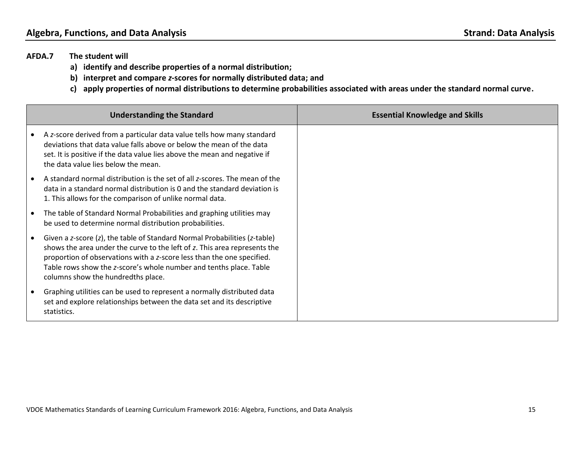- **AFDA.7 The student will** 
	- **a) identify and describe properties of a normal distribution;**
	- **b) interpret and compare** *z***-scores for normally distributed data; and**
	- **c) apply properties of normal distributions to determine probabilities associated with areas under the standard normal curve.**

| <b>Understanding the Standard</b>                                                                                                                                                                                                                                                                                                            | <b>Essential Knowledge and Skills</b> |
|----------------------------------------------------------------------------------------------------------------------------------------------------------------------------------------------------------------------------------------------------------------------------------------------------------------------------------------------|---------------------------------------|
| A z-score derived from a particular data value tells how many standard<br>deviations that data value falls above or below the mean of the data<br>set. It is positive if the data value lies above the mean and negative if<br>the data value lies below the mean.                                                                           |                                       |
| A standard normal distribution is the set of all z-scores. The mean of the<br>data in a standard normal distribution is 0 and the standard deviation is<br>1. This allows for the comparison of unlike normal data.                                                                                                                          |                                       |
| The table of Standard Normal Probabilities and graphing utilities may<br>be used to determine normal distribution probabilities.                                                                                                                                                                                                             |                                       |
| Given a z-score (z), the table of Standard Normal Probabilities (z-table)<br>shows the area under the curve to the left of z. This area represents the<br>proportion of observations with a z-score less than the one specified.<br>Table rows show the z-score's whole number and tenths place. Table<br>columns show the hundredths place. |                                       |
| Graphing utilities can be used to represent a normally distributed data<br>set and explore relationships between the data set and its descriptive<br>statistics.                                                                                                                                                                             |                                       |